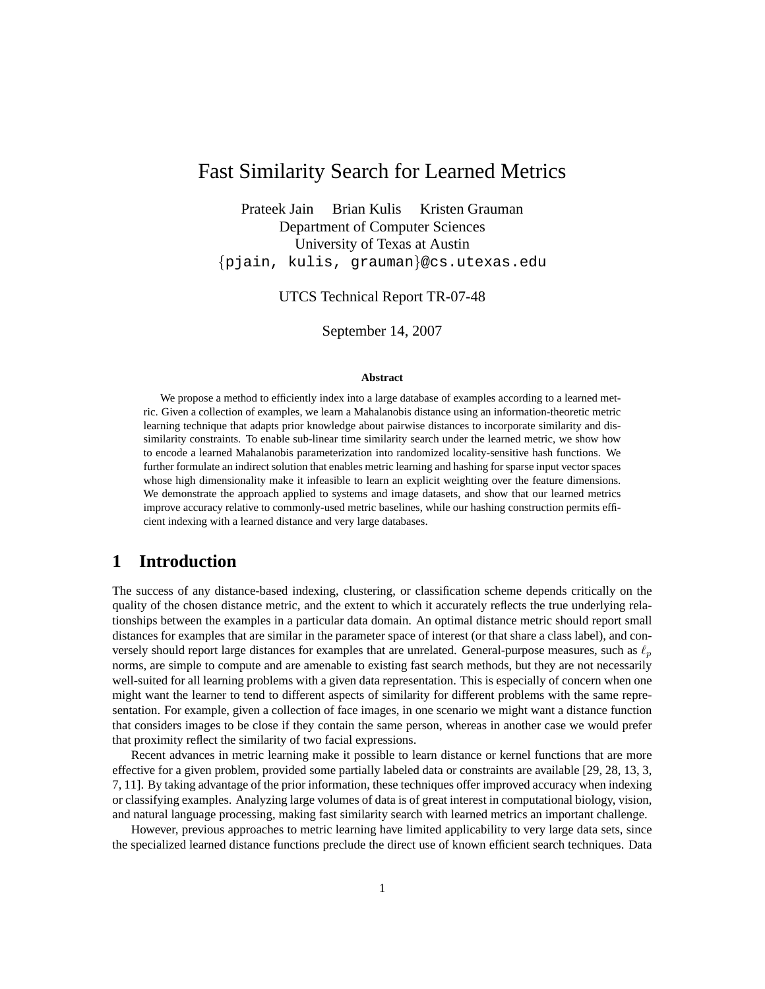# Fast Similarity Search for Learned Metrics

Prateek Jain Brian Kulis Kristen Grauman Department of Computer Sciences University of Texas at Austin {pjain, kulis, grauman}@cs.utexas.edu

UTCS Technical Report TR-07-48

September 14, 2007

#### **Abstract**

We propose a method to efficiently index into a large database of examples according to a learned metric. Given a collection of examples, we learn a Mahalanobis distance using an information-theoretic metric learning technique that adapts prior knowledge about pairwise distances to incorporate similarity and dissimilarity constraints. To enable sub-linear time similarity search under the learned metric, we show how to encode a learned Mahalanobis parameterization into randomized locality-sensitive hash functions. We further formulate an indirect solution that enables metric learning and hashing for sparse input vector spaces whose high dimensionality make it infeasible to learn an explicit weighting over the feature dimensions. We demonstrate the approach applied to systems and image datasets, and show that our learned metrics improve accuracy relative to commonly-used metric baselines, while our hashing construction permits efficient indexing with a learned distance and very large databases.

## **1 Introduction**

The success of any distance-based indexing, clustering, or classification scheme depends critically on the quality of the chosen distance metric, and the extent to which it accurately reflects the true underlying relationships between the examples in a particular data domain. An optimal distance metric should report small distances for examples that are similar in the parameter space of interest (or that share a class label), and conversely should report large distances for examples that are unrelated. General-purpose measures, such as  $\ell_p$ norms, are simple to compute and are amenable to existing fast search methods, but they are not necessarily well-suited for all learning problems with a given data representation. This is especially of concern when one might want the learner to tend to different aspects of similarity for different problems with the same representation. For example, given a collection of face images, in one scenario we might want a distance function that considers images to be close if they contain the same person, whereas in another case we would prefer that proximity reflect the similarity of two facial expressions.

Recent advances in metric learning make it possible to learn distance or kernel functions that are more effective for a given problem, provided some partially labeled data or constraints are available [29, 28, 13, 3, 7, 11]. By taking advantage of the prior information, these techniques offer improved accuracy when indexing or classifying examples. Analyzing large volumes of data is of great interest in computational biology, vision, and natural language processing, making fast similarity search with learned metrics an important challenge.

However, previous approaches to metric learning have limited applicability to very large data sets, since the specialized learned distance functions preclude the direct use of known efficient search techniques. Data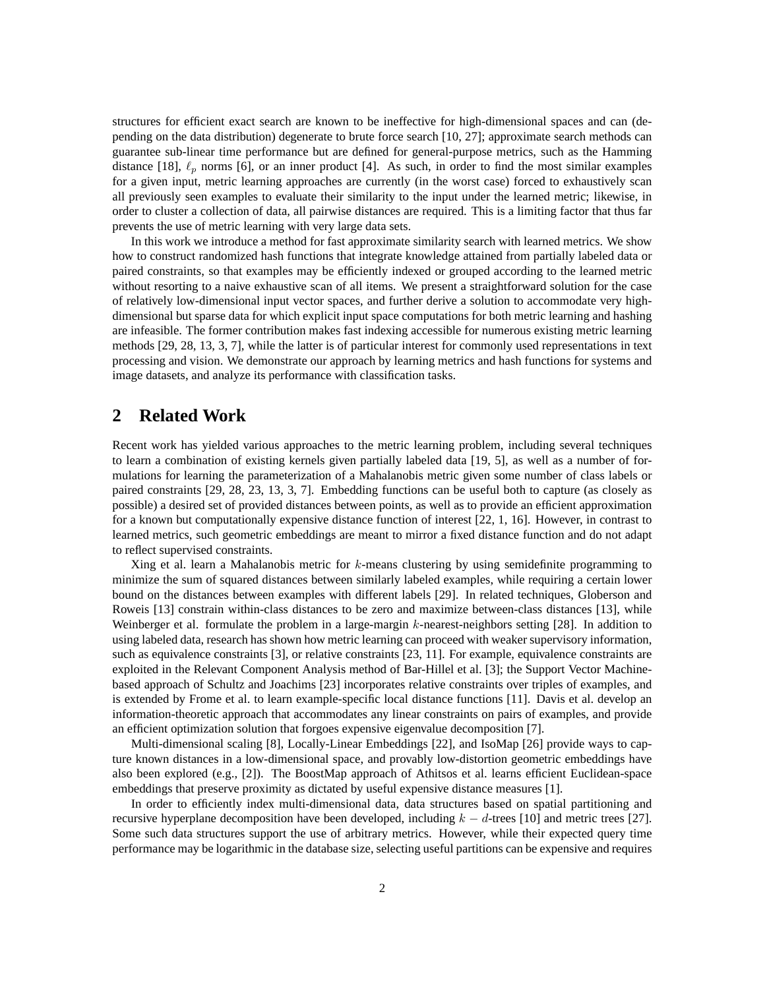structures for efficient exact search are known to be ineffective for high-dimensional spaces and can (depending on the data distribution) degenerate to brute force search [10, 27]; approximate search methods can guarantee sub-linear time performance but are defined for general-purpose metrics, such as the Hamming distance [18],  $\ell_p$  norms [6], or an inner product [4]. As such, in order to find the most similar examples for a given input, metric learning approaches are currently (in the worst case) forced to exhaustively scan all previously seen examples to evaluate their similarity to the input under the learned metric; likewise, in order to cluster a collection of data, all pairwise distances are required. This is a limiting factor that thus far prevents the use of metric learning with very large data sets.

In this work we introduce a method for fast approximate similarity search with learned metrics. We show how to construct randomized hash functions that integrate knowledge attained from partially labeled data or paired constraints, so that examples may be efficiently indexed or grouped according to the learned metric without resorting to a naive exhaustive scan of all items. We present a straightforward solution for the case of relatively low-dimensional input vector spaces, and further derive a solution to accommodate very highdimensional but sparse data for which explicit input space computations for both metric learning and hashing are infeasible. The former contribution makes fast indexing accessible for numerous existing metric learning methods [29, 28, 13, 3, 7], while the latter is of particular interest for commonly used representations in text processing and vision. We demonstrate our approach by learning metrics and hash functions for systems and image datasets, and analyze its performance with classification tasks.

### **2 Related Work**

Recent work has yielded various approaches to the metric learning problem, including several techniques to learn a combination of existing kernels given partially labeled data [19, 5], as well as a number of formulations for learning the parameterization of a Mahalanobis metric given some number of class labels or paired constraints [29, 28, 23, 13, 3, 7]. Embedding functions can be useful both to capture (as closely as possible) a desired set of provided distances between points, as well as to provide an efficient approximation for a known but computationally expensive distance function of interest [22, 1, 16]. However, in contrast to learned metrics, such geometric embeddings are meant to mirror a fixed distance function and do not adapt to reflect supervised constraints.

Xing et al. learn a Mahalanobis metric for  $k$ -means clustering by using semidefinite programming to minimize the sum of squared distances between similarly labeled examples, while requiring a certain lower bound on the distances between examples with different labels [29]. In related techniques, Globerson and Roweis [13] constrain within-class distances to be zero and maximize between-class distances [13], while Weinberger et al. formulate the problem in a large-margin  $k$ -nearest-neighbors setting [28]. In addition to using labeled data, research has shown how metric learning can proceed with weaker supervisory information, such as equivalence constraints [3], or relative constraints [23, 11]. For example, equivalence constraints are exploited in the Relevant Component Analysis method of Bar-Hillel et al. [3]; the Support Vector Machinebased approach of Schultz and Joachims [23] incorporates relative constraints over triples of examples, and is extended by Frome et al. to learn example-specific local distance functions [11]. Davis et al. develop an information-theoretic approach that accommodates any linear constraints on pairs of examples, and provide an efficient optimization solution that forgoes expensive eigenvalue decomposition [7].

Multi-dimensional scaling [8], Locally-Linear Embeddings [22], and IsoMap [26] provide ways to capture known distances in a low-dimensional space, and provably low-distortion geometric embeddings have also been explored (e.g., [2]). The BoostMap approach of Athitsos et al. learns efficient Euclidean-space embeddings that preserve proximity as dictated by useful expensive distance measures [1].

In order to efficiently index multi-dimensional data, data structures based on spatial partitioning and recursive hyperplane decomposition have been developed, including  $k - d$ -trees [10] and metric trees [27]. Some such data structures support the use of arbitrary metrics. However, while their expected query time performance may be logarithmic in the database size, selecting useful partitions can be expensive and requires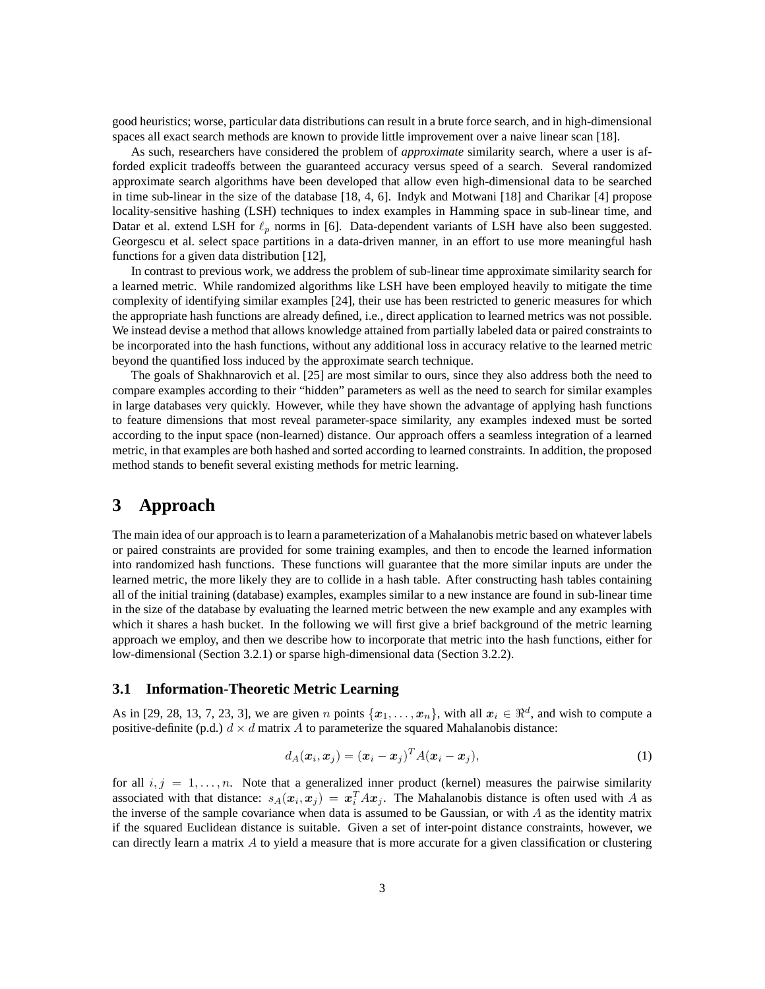good heuristics; worse, particular data distributions can result in a brute force search, and in high-dimensional spaces all exact search methods are known to provide little improvement over a naive linear scan [18].

As such, researchers have considered the problem of *approximate* similarity search, where a user is afforded explicit tradeoffs between the guaranteed accuracy versus speed of a search. Several randomized approximate search algorithms have been developed that allow even high-dimensional data to be searched in time sub-linear in the size of the database [18, 4, 6]. Indyk and Motwani [18] and Charikar [4] propose locality-sensitive hashing (LSH) techniques to index examples in Hamming space in sub-linear time, and Datar et al. extend LSH for  $\ell_p$  norms in [6]. Data-dependent variants of LSH have also been suggested. Georgescu et al. select space partitions in a data-driven manner, in an effort to use more meaningful hash functions for a given data distribution [12],

In contrast to previous work, we address the problem of sub-linear time approximate similarity search for a learned metric. While randomized algorithms like LSH have been employed heavily to mitigate the time complexity of identifying similar examples [24], their use has been restricted to generic measures for which the appropriate hash functions are already defined, i.e., direct application to learned metrics was not possible. We instead devise a method that allows knowledge attained from partially labeled data or paired constraints to be incorporated into the hash functions, without any additional loss in accuracy relative to the learned metric beyond the quantified loss induced by the approximate search technique.

The goals of Shakhnarovich et al. [25] are most similar to ours, since they also address both the need to compare examples according to their "hidden" parameters as well as the need to search for similar examples in large databases very quickly. However, while they have shown the advantage of applying hash functions to feature dimensions that most reveal parameter-space similarity, any examples indexed must be sorted according to the input space (non-learned) distance. Our approach offers a seamless integration of a learned metric, in that examples are both hashed and sorted according to learned constraints. In addition, the proposed method stands to benefit several existing methods for metric learning.

## **3 Approach**

The main idea of our approach is to learn a parameterization of a Mahalanobis metric based on whatever labels or paired constraints are provided for some training examples, and then to encode the learned information into randomized hash functions. These functions will guarantee that the more similar inputs are under the learned metric, the more likely they are to collide in a hash table. After constructing hash tables containing all of the initial training (database) examples, examples similar to a new instance are found in sub-linear time in the size of the database by evaluating the learned metric between the new example and any examples with which it shares a hash bucket. In the following we will first give a brief background of the metric learning approach we employ, and then we describe how to incorporate that metric into the hash functions, either for low-dimensional (Section 3.2.1) or sparse high-dimensional data (Section 3.2.2).

### **3.1 Information-Theoretic Metric Learning**

As in [29, 28, 13, 7, 23, 3], we are given *n* points  $\{x_1, \ldots, x_n\}$ , with all  $x_i \in \mathbb{R}^d$ , and wish to compute a positive-definite (p.d.)  $d \times d$  matrix A to parameterize the squared Mahalanobis distance:

$$
d_A(\boldsymbol{x}_i, \boldsymbol{x}_j) = (\boldsymbol{x}_i - \boldsymbol{x}_j)^T A (\boldsymbol{x}_i - \boldsymbol{x}_j),
$$
\n(1)

for all  $i, j = 1, \ldots, n$ . Note that a generalized inner product (kernel) measures the pairwise similarity associated with that distance:  $s_A(x_i, x_j) = x_i^T A x_j$ . The Mahalanobis distance is often used with A as the inverse of the sample covariance when data is assumed to be Gaussian, or with  $A$  as the identity matrix if the squared Euclidean distance is suitable. Given a set of inter-point distance constraints, however, we can directly learn a matrix A to yield a measure that is more accurate for a given classification or clustering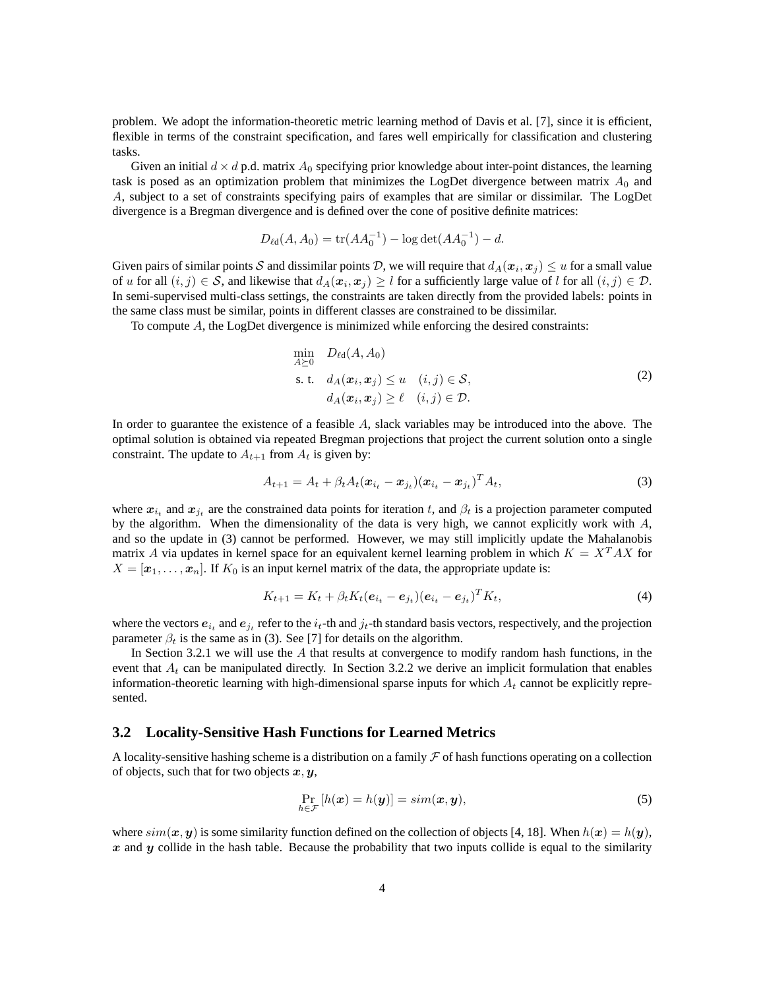problem. We adopt the information-theoretic metric learning method of Davis et al. [7], since it is efficient, flexible in terms of the constraint specification, and fares well empirically for classification and clustering tasks.

Given an initial  $d \times d$  p.d. matrix  $A_0$  specifying prior knowledge about inter-point distances, the learning task is posed as an optimization problem that minimizes the LogDet divergence between matrix  $A_0$  and A, subject to a set of constraints specifying pairs of examples that are similar or dissimilar. The LogDet divergence is a Bregman divergence and is defined over the cone of positive definite matrices:

$$
D_{\ell d}(A, A_0) = \text{tr}(AA_0^{-1}) - \log \det(AA_0^{-1}) - d.
$$

Given pairs of similar points S and dissimilar points D, we will require that  $d_A(x_i, x_j) \leq u$  for a small value of u for all  $(i, j) \in S$ , and likewise that  $d_A(x_i, x_j) \geq l$  for a sufficiently large value of l for all  $(i, j) \in D$ . In semi-supervised multi-class settings, the constraints are taken directly from the provided labels: points in the same class must be similar, points in different classes are constrained to be dissimilar.

To compute A, the LogDet divergence is minimized while enforcing the desired constraints:

$$
\min_{A \succeq 0} D_{\ell d}(A, A_0)
$$
\n
$$
\text{s. t.} \quad d_A(\mathbf{x}_i, \mathbf{x}_j) \le u \quad (i, j) \in \mathcal{S},
$$
\n
$$
d_A(\mathbf{x}_i, \mathbf{x}_j) \ge \ell \quad (i, j) \in \mathcal{D}.
$$
\n
$$
(2)
$$

In order to guarantee the existence of a feasible A, slack variables may be introduced into the above. The optimal solution is obtained via repeated Bregman projections that project the current solution onto a single constraint. The update to  $A_{t+1}$  from  $A_t$  is given by:

$$
A_{t+1} = A_t + \beta_t A_t (\boldsymbol{x}_{i_t} - \boldsymbol{x}_{j_t}) (\boldsymbol{x}_{i_t} - \boldsymbol{x}_{j_t})^T A_t,
$$
\n(3)

where  $x_{i_t}$  and  $x_{j_t}$  are the constrained data points for iteration t, and  $\beta_t$  is a projection parameter computed by the algorithm. When the dimensionality of the data is very high, we cannot explicitly work with  $A$ , and so the update in (3) cannot be performed. However, we may still implicitly update the Mahalanobis matrix A via updates in kernel space for an equivalent kernel learning problem in which  $K = X<sup>T</sup> AX$  for  $X = [\mathbf{x}_1, \dots, \mathbf{x}_n]$ . If  $K_0$  is an input kernel matrix of the data, the appropriate update is:

$$
K_{t+1} = K_t + \beta_t K_t (e_{i_t} - e_{j_t}) (e_{i_t} - e_{j_t})^T K_t,
$$
\n(4)

where the vectors  $e_{i_t}$  and  $e_{j_t}$  refer to the  $i_t$ -th and  $j_t$ -th standard basis vectors, respectively, and the projection parameter  $\beta_t$  is the same as in (3). See [7] for details on the algorithm.

In Section 3.2.1 we will use the A that results at convergence to modify random hash functions, in the event that  $A_t$  can be manipulated directly. In Section 3.2.2 we derive an implicit formulation that enables information-theoretic learning with high-dimensional sparse inputs for which  $A_t$  cannot be explicitly represented.

### **3.2 Locality-Sensitive Hash Functions for Learned Metrics**

A locality-sensitive hashing scheme is a distribution on a family  $\mathcal F$  of hash functions operating on a collection of objects, such that for two objects  $x, y$ ,

$$
\Pr_{h \in \mathcal{F}} [h(\boldsymbol{x}) = h(\boldsymbol{y})] = sim(\boldsymbol{x}, \boldsymbol{y}), \tag{5}
$$

where  $sim(x, y)$  is some similarity function defined on the collection of objects [4, 18]. When  $h(x) = h(y)$ , x and y collide in the hash table. Because the probability that two inputs collide is equal to the similarity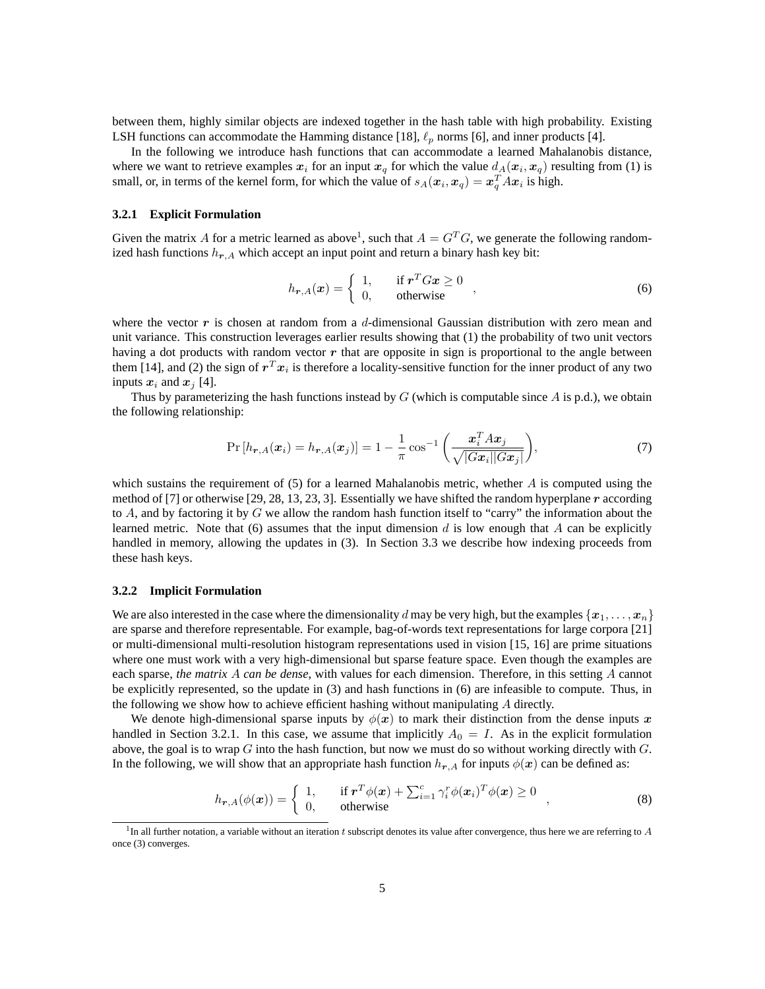between them, highly similar objects are indexed together in the hash table with high probability. Existing LSH functions can accommodate the Hamming distance [18],  $\ell_p$  norms [6], and inner products [4].

In the following we introduce hash functions that can accommodate a learned Mahalanobis distance, where we want to retrieve examples  $x_i$  for an input  $x_q$  for which the value  $d_A(x_i, x_q)$  resulting from (1) is small, or, in terms of the kernel form, for which the value of  $s_A(\mathbf{x}_i, \mathbf{x}_q) = \mathbf{x}_q^T A \mathbf{x}_i$  is high.

#### **3.2.1 Explicit Formulation**

Given the matrix A for a metric learned as above<sup>1</sup>, such that  $A = G^T G$ , we generate the following randomized hash functions  $h_{r,A}$  which accept an input point and return a binary hash key bit:

$$
h_{\mathbf{r},A}(\mathbf{x}) = \begin{cases} 1, & \text{if } \mathbf{r}^T G \mathbf{x} \ge 0 \\ 0, & \text{otherwise} \end{cases} \tag{6}
$$

where the vector  $\bm{r}$  is chosen at random from a d-dimensional Gaussian distribution with zero mean and unit variance. This construction leverages earlier results showing that (1) the probability of two unit vectors having a dot products with random vector  $r$  that are opposite in sign is proportional to the angle between them [14], and (2) the sign of  $r^T x_i$  is therefore a locality-sensitive function for the inner product of any two inputs  $x_i$  and  $x_j$  [4].

Thus by parameterizing the hash functions instead by  $G$  (which is computable since  $A$  is p.d.), we obtain the following relationship:

$$
\Pr\left[h_{\boldsymbol{r},A}(\boldsymbol{x}_i) = h_{\boldsymbol{r},A}(\boldsymbol{x}_j)\right] = 1 - \frac{1}{\pi} \cos^{-1} \left(\frac{\boldsymbol{x}_i^T A \boldsymbol{x}_j}{\sqrt{|G\boldsymbol{x}_i||G\boldsymbol{x}_j|}}\right),\tag{7}
$$

which sustains the requirement of  $(5)$  for a learned Mahalanobis metric, whether A is computed using the method of [7] or otherwise [29, 28, 13, 23, 3]. Essentially we have shifted the random hyperplane r according to  $A$ , and by factoring it by  $G$  we allow the random hash function itself to "carry" the information about the learned metric. Note that  $(6)$  assumes that the input dimension d is low enough that A can be explicitly handled in memory, allowing the updates in (3). In Section 3.3 we describe how indexing proceeds from these hash keys.

#### **3.2.2 Implicit Formulation**

We are also interested in the case where the dimensionality d may be very high, but the examples  $\{x_1, \ldots, x_n\}$ are sparse and therefore representable. For example, bag-of-words text representations for large corpora [21] or multi-dimensional multi-resolution histogram representations used in vision [15, 16] are prime situations where one must work with a very high-dimensional but sparse feature space. Even though the examples are each sparse, *the matrix* A *can be dense*, with values for each dimension. Therefore, in this setting A cannot be explicitly represented, so the update in (3) and hash functions in (6) are infeasible to compute. Thus, in the following we show how to achieve efficient hashing without manipulating  $A$  directly.

We denote high-dimensional sparse inputs by  $\phi(x)$  to mark their distinction from the dense inputs x handled in Section 3.2.1. In this case, we assume that implicitly  $A_0 = I$ . As in the explicit formulation above, the goal is to wrap  $G$  into the hash function, but now we must do so without working directly with  $G$ . In the following, we will show that an appropriate hash function  $h_{r,A}$  for inputs  $\phi(x)$  can be defined as:

$$
h_{\boldsymbol{r},A}(\phi(\boldsymbol{x})) = \begin{cases} 1, & \text{if } \boldsymbol{r}^T \phi(\boldsymbol{x}) + \sum_{i=1}^c \gamma_i^r \phi(\boldsymbol{x}_i)^T \phi(\boldsymbol{x}) \ge 0 \\ 0, & \text{otherwise} \end{cases} \tag{8}
$$

 ${}^{1}$ In all further notation, a variable without an iteration t subscript denotes its value after convergence, thus here we are referring to A once (3) converges.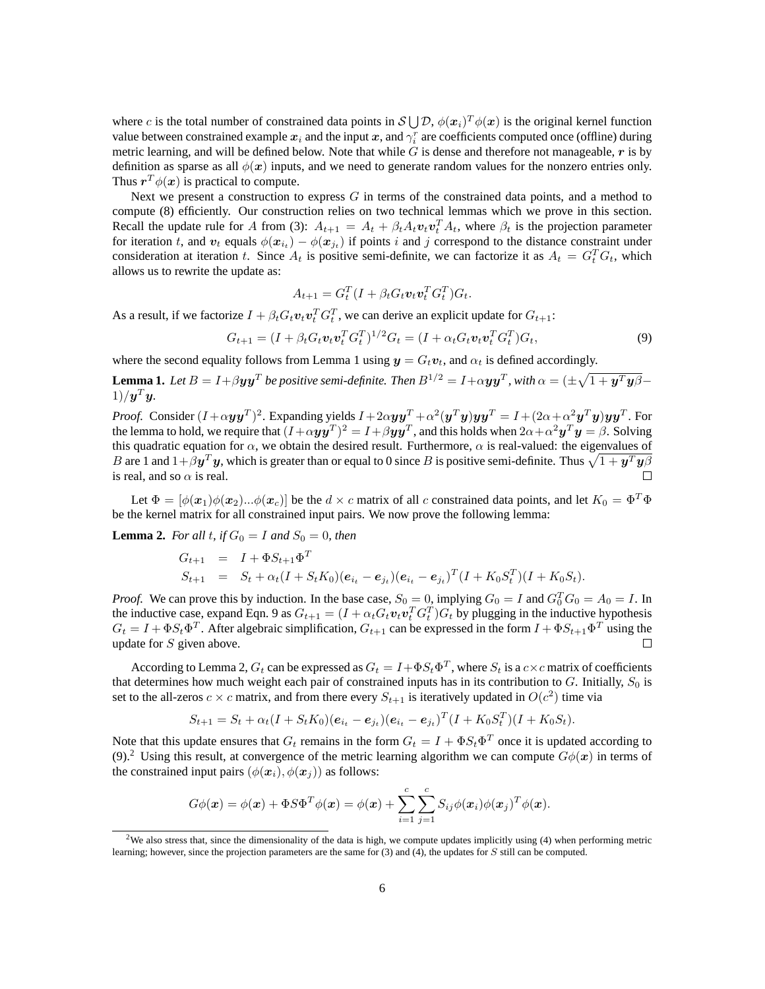where c is the total number of constrained data points in  $S\bigcup\mathcal{D}$ ,  $\phi(\bm{x}_i)^T\phi(\bm{x})$  is the original kernel function value between constrained example  $x_i$  and the input  $x$ , and  $\gamma_i^r$  are coefficients computed once (offline) during metric learning, and will be defined below. Note that while  $G$  is dense and therefore not manageable,  $r$  is by definition as sparse as all  $\phi(x)$  inputs, and we need to generate random values for the nonzero entries only. Thus  $r^T \phi(x)$  is practical to compute.

Next we present a construction to express  $G$  in terms of the constrained data points, and a method to compute (8) efficiently. Our construction relies on two technical lemmas which we prove in this section. Recall the update rule for A from (3):  $A_{t+1} = A_t + \beta_t A_t v_t v_t^T A_t$ , where  $\beta_t$  is the projection parameter for iteration t, and  $v_t$  equals  $\phi(x_{i_t}) - \phi(x_{j_t})$  if points i and j correspond to the distance constraint under consideration at iteration t. Since  $A_t$  is positive semi-definite, we can factorize it as  $A_t = G_t^T G_t$ , which allows us to rewrite the update as:

$$
A_{t+1} = G_t^T (I + \beta_t G_t \boldsymbol{v}_t \boldsymbol{v}_t^T G_t^T) G_t.
$$

As a result, if we factorize  $I + \beta_t G_t \mathbf{v}_t \mathbf{v}_t^T G_t^T$ , we can derive an explicit update for  $G_{t+1}$ :

$$
G_{t+1} = (I + \beta_t G_t \mathbf{v}_t \mathbf{v}_t^T G_t^T)^{1/2} G_t = (I + \alpha_t G_t \mathbf{v}_t \mathbf{v}_t^T G_t^T) G_t,
$$
\n(9)

where the second equality follows from Lemma 1 using  $y = G_t v_t$ , and  $\alpha_t$  is defined accordingly.

**Lemma 1.** Let  $B=I+\beta \bm{y}\bm{y}^T$  be positive semi-definite. Then  $B^{1/2}=I+\alpha \bm{y}\bm{y}^T$ , with  $\alpha=(\pm\sqrt{1+\bm{y}^T\bm{y}\beta}-1)$  $1)/\boldsymbol{y}^T\boldsymbol{y}$ .

*Proof.* Consider  $(I+\alpha y y^T)^2$ . Expanding yields  $I+2\alpha y y^T+\alpha^2(y^T y) y y^T = I+(2\alpha+\alpha^2 y^T y) y y^T$ . For the lemma to hold, we require that  $(I+\alpha y y^T)^2=I+\beta y y^T$ , and this holds when  $2\alpha+\alpha^2 y^T y=\beta.$  Solving this quadratic equation for  $\alpha$ , we obtain the desired result. Furthermore,  $\alpha$  is real-valued: the eigenvalues of  $B$  are 1 and  $1+\beta\bm{y}^T\bm{y},$  which is greater than or equal to  $0$  since  $B$  is positive semi-definite. Thus  $\sqrt{1+\bm{y}^T\bm{y}}\beta$ is real, and so  $\alpha$  is real.  $\Box$ 

Let  $\Phi = [\phi(\mathbf{x}_1)\phi(\mathbf{x}_2)...\phi(\mathbf{x}_c)]$  be the  $d \times c$  matrix of all c constrained data points, and let  $K_0 = \Phi^T \Phi$ be the kernel matrix for all constrained input pairs. We now prove the following lemma:

**Lemma 2.** *For all t*, *if*  $G_0 = I$  *and*  $S_0 = 0$ *, then* 

$$
G_{t+1} = I + \Phi S_{t+1} \Phi^T
$$
  
\n
$$
S_{t+1} = S_t + \alpha_t (I + S_t K_0) (e_{i_t} - e_{j_t}) (e_{i_t} - e_{j_t})^T (I + K_0 S_t^T) (I + K_0 S_t).
$$

*Proof.* We can prove this by induction. In the base case,  $S_0 = 0$ , implying  $G_0 = I$  and  $G_0^T G_0 = A_0 = I$ . In the inductive case, expand Eqn. 9 as  $G_{t+1} = (I + \alpha_t G_t v_t v_t^T G_t^T) G_t$  by plugging in the inductive hypothesis  $G_t = I + \Phi S_t \Phi^T$ . After algebraic simplification,  $G_{t+1}$  can be expressed in the form  $I + \Phi S_{t+1} \Phi^T$  using the update for  $S$  given above.  $\Box$ 

According to Lemma 2,  $G_t$  can be expressed as  $G_t = I + \Phi S_t \Phi^T$ , where  $S_t$  is a  $c \times c$  matrix of coefficients that determines how much weight each pair of constrained inputs has in its contribution to  $G$ . Initially,  $S_0$  is set to the all-zeros  $c \times c$  matrix, and from there every  $S_{t+1}$  is iteratively updated in  $O(c^2)$  time via

$$
S_{t+1} = S_t + \alpha_t (I + S_t K_0) (\mathbf{e}_{i_t} - \mathbf{e}_{j_t}) (\mathbf{e}_{i_t} - \mathbf{e}_{j_t})^T (I + K_0 S_t^T) (I + K_0 S_t).
$$

Note that this update ensures that  $G_t$  remains in the form  $G_t = I + \Phi S_t \Phi^T$  once it is updated according to (9).<sup>2</sup> Using this result, at convergence of the metric learning algorithm we can compute  $G\phi(x)$  in terms of the constrained input pairs  $(\phi(\mathbf{x}_i), \phi(\mathbf{x}_i))$  as follows:

$$
G\phi(\boldsymbol{x}) = \phi(\boldsymbol{x}) + \Phi S \Phi^T \phi(\boldsymbol{x}) = \phi(\boldsymbol{x}) + \sum_{i=1}^c \sum_{j=1}^c S_{ij} \phi(\boldsymbol{x}_i) \phi(\boldsymbol{x}_j)^T \phi(\boldsymbol{x}).
$$

<sup>&</sup>lt;sup>2</sup>We also stress that, since the dimensionality of the data is high, we compute updates implicitly using  $(4)$  when performing metric learning; however, since the projection parameters are the same for (3) and (4), the updates for S still can be computed.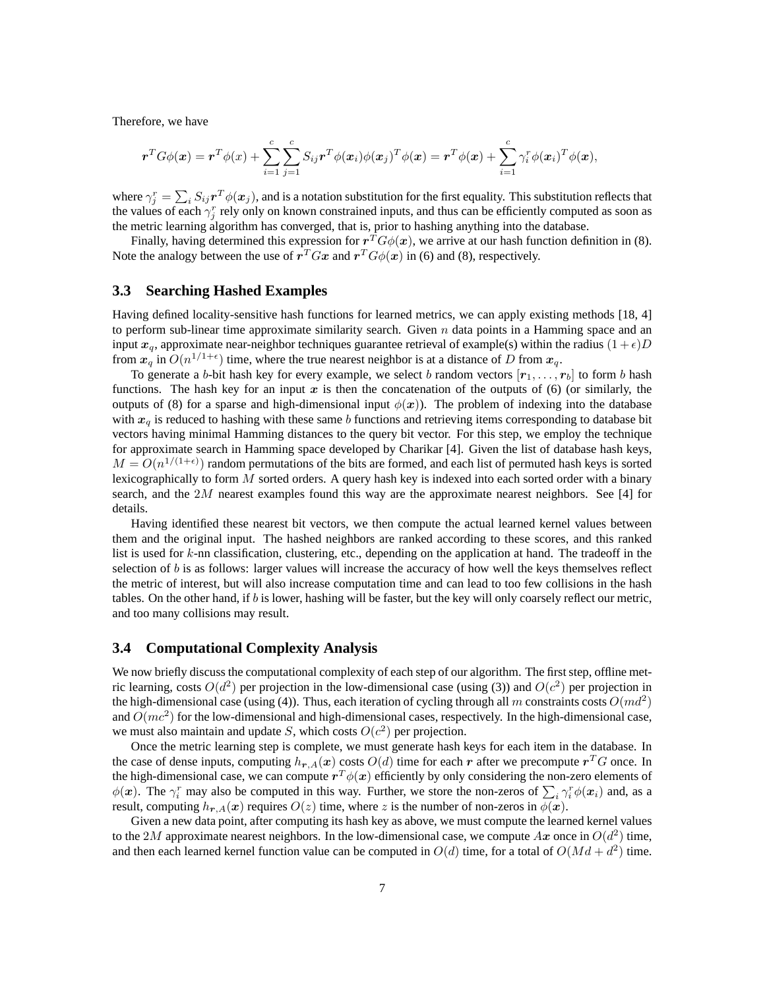Therefore, we have

$$
\boldsymbol{r}^T G \phi(\boldsymbol{x}) = \boldsymbol{r}^T \phi(\boldsymbol{x}) + \sum_{i=1}^c \sum_{j=1}^c S_{ij} \boldsymbol{r}^T \phi(\boldsymbol{x}_i) \phi(\boldsymbol{x}_j)^T \phi(\boldsymbol{x}) = \boldsymbol{r}^T \phi(\boldsymbol{x}) + \sum_{i=1}^c \gamma_i^r \phi(\boldsymbol{x}_i)^T \phi(\boldsymbol{x}),
$$

where  $\gamma_j^r = \sum_i S_{ij} r^T \phi(x_j)$ , and is a notation substitution for the first equality. This substitution reflects that the values of each  $\gamma_j^r$  rely only on known constrained inputs, and thus can be efficiently computed as soon as the metric learning algorithm has converged, that is, prior to hashing anything into the database.

Finally, having determined this expression for  $r^T G \phi(x)$ , we arrive at our hash function definition in (8). Note the analogy between the use of  $\mathbf{r}^T G\mathbf{x}$  and  $\mathbf{r}^T G\phi(\mathbf{x})$  in (6) and (8), respectively.

### **3.3 Searching Hashed Examples**

Having defined locality-sensitive hash functions for learned metrics, we can apply existing methods [18, 4] to perform sub-linear time approximate similarity search. Given  $n$  data points in a Hamming space and an input  $x_a$ , approximate near-neighbor techniques guarantee retrieval of example(s) within the radius  $(1+\epsilon)D$ from  $x_q$  in  $O(n^{1/1+\epsilon})$  time, where the true nearest neighbor is at a distance of D from  $x_q$ .

To generate a b-bit hash key for every example, we select b random vectors  $[r_1,\ldots,r_b]$  to form b hash functions. The hash key for an input  $x$  is then the concatenation of the outputs of (6) (or similarly, the outputs of (8) for a sparse and high-dimensional input  $\phi(x)$ ). The problem of indexing into the database with  $x_q$  is reduced to hashing with these same b functions and retrieving items corresponding to database bit vectors having minimal Hamming distances to the query bit vector. For this step, we employ the technique for approximate search in Hamming space developed by Charikar [4]. Given the list of database hash keys,  $M = O(n^{1/(1+\epsilon)})$  random permutations of the bits are formed, and each list of permuted hash keys is sorted lexicographically to form  $M$  sorted orders. A query hash key is indexed into each sorted order with a binary search, and the  $2M$  nearest examples found this way are the approximate nearest neighbors. See [4] for details.

Having identified these nearest bit vectors, we then compute the actual learned kernel values between them and the original input. The hashed neighbors are ranked according to these scores, and this ranked list is used for k-nn classification, clustering, etc., depending on the application at hand. The tradeoff in the selection of  $b$  is as follows: larger values will increase the accuracy of how well the keys themselves reflect the metric of interest, but will also increase computation time and can lead to too few collisions in the hash tables. On the other hand, if  $b$  is lower, hashing will be faster, but the key will only coarsely reflect our metric, and too many collisions may result.

### **3.4 Computational Complexity Analysis**

We now briefly discuss the computational complexity of each step of our algorithm. The first step, offline metric learning, costs  $O(d^2)$  per projection in the low-dimensional case (using (3)) and  $O(c^2)$  per projection in the high-dimensional case (using (4)). Thus, each iteration of cycling through all m constraints costs  $O(md^2)$ and  $O(mc^2)$  for the low-dimensional and high-dimensional cases, respectively. In the high-dimensional case, we must also maintain and update S, which costs  $O(c^2)$  per projection.

Once the metric learning step is complete, we must generate hash keys for each item in the database. In the case of dense inputs, computing  $h_{r,A}(x)$  costs  $O(d)$  time for each r after we precompute  $r^T G$  once. In the high-dimensional case, we can compute  $r^T\phi(\bm{x})$  efficiently by only considering the non-zero elements of  $\phi(x)$ . The  $\gamma_i^r$  may also be computed in this way. Further, we store the non-zeros of  $\sum_i \gamma_i^r \phi(x_i)$  and, as a result, computing  $h_{r,A}(x)$  requires  $O(z)$  time, where z is the number of non-zeros in  $\phi(x)$ .

Given a new data point, after computing its hash key as above, we must compute the learned kernel values to the 2M approximate nearest neighbors. In the low-dimensional case, we compute  $Ax$  once in  $O(d^2)$  time, and then each learned kernel function value can be computed in  $O(d)$  time, for a total of  $O(Md + d^2)$  time.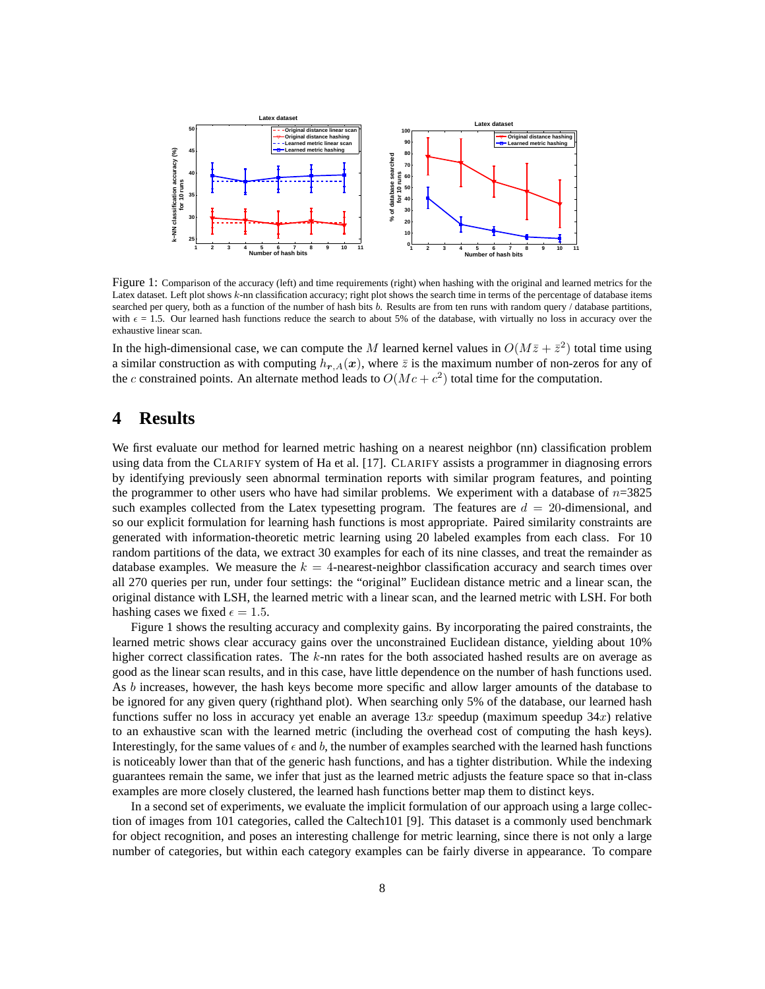

Figure 1: Comparison of the accuracy (left) and time requirements (right) when hashing with the original and learned metrics for the Latex dataset. Left plot shows k-nn classification accuracy; right plot shows the search time in terms of the percentage of database items searched per query, both as a function of the number of hash bits b. Results are from ten runs with random query / database partitions, with  $\epsilon = 1.5$ . Our learned hash functions reduce the search to about 5% of the database, with virtually no loss in accuracy over the exhaustive linear scan.

In the high-dimensional case, we can compute the M learned kernel values in  $O(M\bar{z} + \bar{z}^2)$  total time using a similar construction as with computing  $h_{r,A}(x)$ , where  $\bar{z}$  is the maximum number of non-zeros for any of the c constrained points. An alternate method leads to  $O(Mc + c^2)$  total time for the computation.

## **4 Results**

We first evaluate our method for learned metric hashing on a nearest neighbor (nn) classification problem using data from the CLARIFY system of Ha et al. [17]. CLARIFY assists a programmer in diagnosing errors by identifying previously seen abnormal termination reports with similar program features, and pointing the programmer to other users who have had similar problems. We experiment with a database of  $n=3825$ such examples collected from the Latex typesetting program. The features are  $d = 20$ -dimensional, and so our explicit formulation for learning hash functions is most appropriate. Paired similarity constraints are generated with information-theoretic metric learning using 20 labeled examples from each class. For 10 random partitions of the data, we extract 30 examples for each of its nine classes, and treat the remainder as database examples. We measure the  $k = 4$ -nearest-neighbor classification accuracy and search times over all 270 queries per run, under four settings: the "original" Euclidean distance metric and a linear scan, the original distance with LSH, the learned metric with a linear scan, and the learned metric with LSH. For both hashing cases we fixed  $\epsilon = 1.5$ .

Figure 1 shows the resulting accuracy and complexity gains. By incorporating the paired constraints, the learned metric shows clear accuracy gains over the unconstrained Euclidean distance, yielding about 10% higher correct classification rates. The k-nn rates for the both associated hashed results are on average as good as the linear scan results, and in this case, have little dependence on the number of hash functions used. As b increases, however, the hash keys become more specific and allow larger amounts of the database to be ignored for any given query (righthand plot). When searching only 5% of the database, our learned hash functions suffer no loss in accuracy yet enable an average  $13x$  speedup (maximum speedup  $34x$ ) relative to an exhaustive scan with the learned metric (including the overhead cost of computing the hash keys). Interestingly, for the same values of  $\epsilon$  and b, the number of examples searched with the learned hash functions is noticeably lower than that of the generic hash functions, and has a tighter distribution. While the indexing guarantees remain the same, we infer that just as the learned metric adjusts the feature space so that in-class examples are more closely clustered, the learned hash functions better map them to distinct keys.

In a second set of experiments, we evaluate the implicit formulation of our approach using a large collection of images from 101 categories, called the Caltech101 [9]. This dataset is a commonly used benchmark for object recognition, and poses an interesting challenge for metric learning, since there is not only a large number of categories, but within each category examples can be fairly diverse in appearance. To compare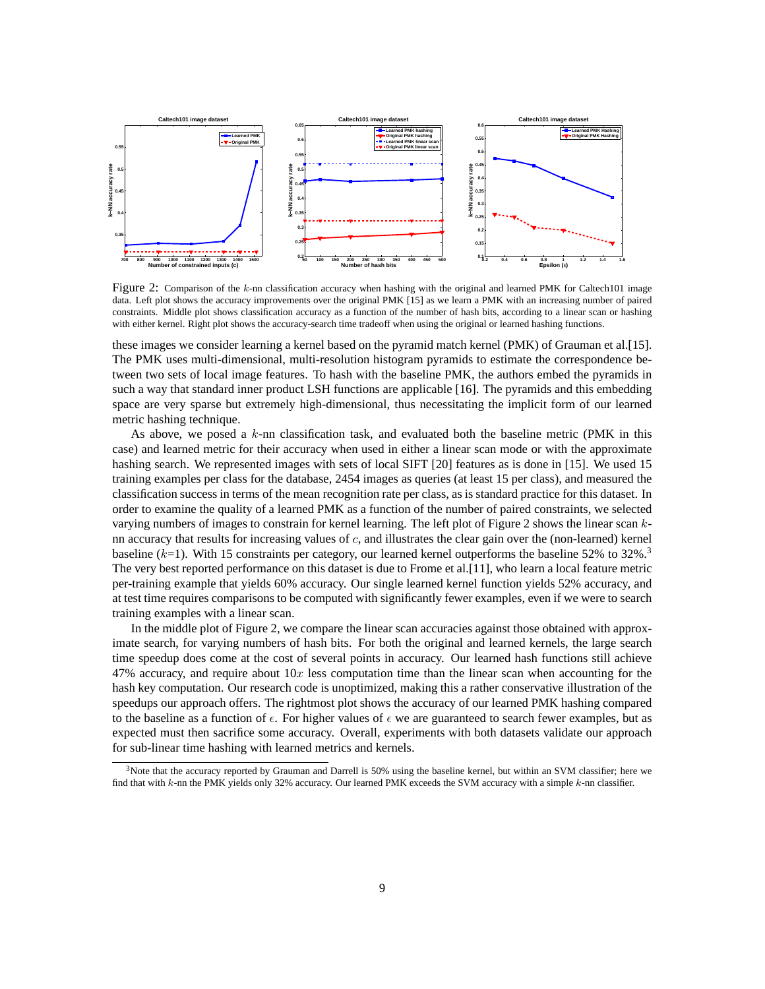

Figure 2: Comparison of the k-nn classification accuracy when hashing with the original and learned PMK for Caltech101 image data. Left plot shows the accuracy improvements over the original PMK [15] as we learn a PMK with an increasing number of paired constraints. Middle plot shows classification accuracy as a function of the number of hash bits, according to a linear scan or hashing with either kernel. Right plot shows the accuracy-search time tradeoff when using the original or learned hashing functions.

these images we consider learning a kernel based on the pyramid match kernel (PMK) of Grauman et al.[15]. The PMK uses multi-dimensional, multi-resolution histogram pyramids to estimate the correspondence between two sets of local image features. To hash with the baseline PMK, the authors embed the pyramids in such a way that standard inner product LSH functions are applicable [16]. The pyramids and this embedding space are very sparse but extremely high-dimensional, thus necessitating the implicit form of our learned metric hashing technique.

As above, we posed a k-nn classification task, and evaluated both the baseline metric (PMK in this case) and learned metric for their accuracy when used in either a linear scan mode or with the approximate hashing search. We represented images with sets of local SIFT [20] features as is done in [15]. We used 15 training examples per class for the database, 2454 images as queries (at least 15 per class), and measured the classification success in terms of the mean recognition rate per class, as is standard practice for this dataset. In order to examine the quality of a learned PMK as a function of the number of paired constraints, we selected varying numbers of images to constrain for kernel learning. The left plot of Figure 2 shows the linear scan knn accuracy that results for increasing values of  $c$ , and illustrates the clear gain over the (non-learned) kernel baseline  $(k=1)$ . With 15 constraints per category, our learned kernel outperforms the baseline 52% to 32%.<sup>3</sup> The very best reported performance on this dataset is due to Frome et al.[11], who learn a local feature metric per-training example that yields 60% accuracy. Our single learned kernel function yields 52% accuracy, and at test time requires comparisons to be computed with significantly fewer examples, even if we were to search training examples with a linear scan.

In the middle plot of Figure 2, we compare the linear scan accuracies against those obtained with approximate search, for varying numbers of hash bits. For both the original and learned kernels, the large search time speedup does come at the cost of several points in accuracy. Our learned hash functions still achieve 47% accuracy, and require about  $10x$  less computation time than the linear scan when accounting for the hash key computation. Our research code is unoptimized, making this a rather conservative illustration of the speedups our approach offers. The rightmost plot shows the accuracy of our learned PMK hashing compared to the baseline as a function of  $\epsilon$ . For higher values of  $\epsilon$  we are guaranteed to search fewer examples, but as expected must then sacrifice some accuracy. Overall, experiments with both datasets validate our approach for sub-linear time hashing with learned metrics and kernels.

<sup>3</sup>Note that the accuracy reported by Grauman and Darrell is 50% using the baseline kernel, but within an SVM classifier; here we find that with k-nn the PMK yields only 32% accuracy. Our learned PMK exceeds the SVM accuracy with a simple k-nn classifier.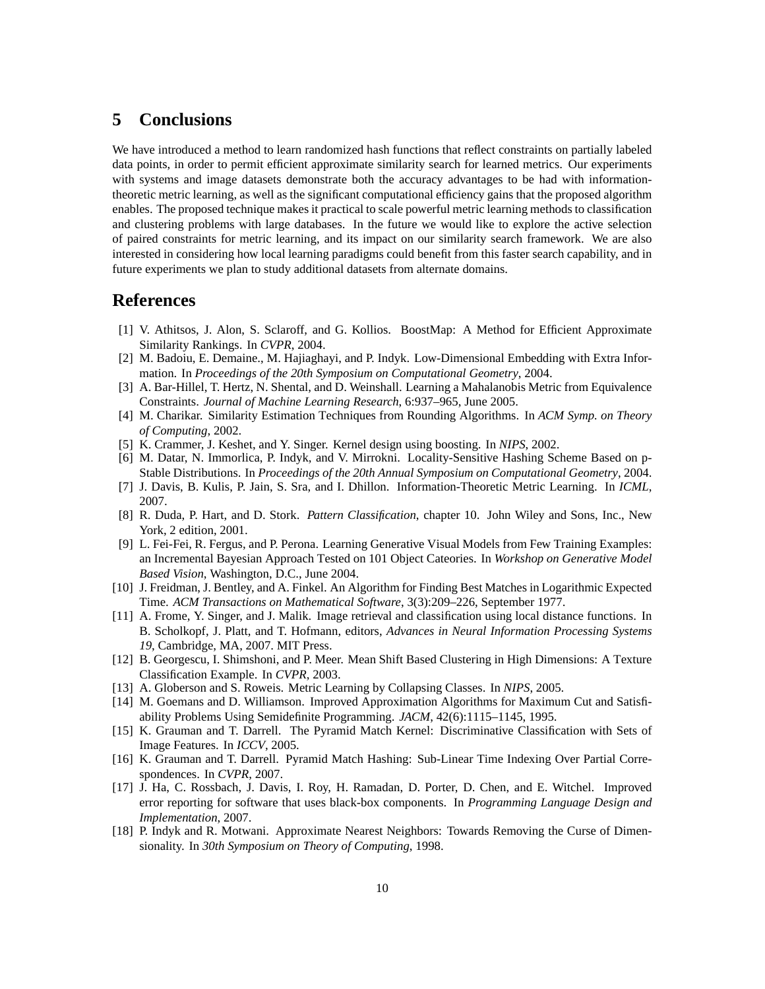## **5 Conclusions**

We have introduced a method to learn randomized hash functions that reflect constraints on partially labeled data points, in order to permit efficient approximate similarity search for learned metrics. Our experiments with systems and image datasets demonstrate both the accuracy advantages to be had with informationtheoretic metric learning, as well as the significant computational efficiency gains that the proposed algorithm enables. The proposed technique makes it practical to scale powerful metric learning methods to classification and clustering problems with large databases. In the future we would like to explore the active selection of paired constraints for metric learning, and its impact on our similarity search framework. We are also interested in considering how local learning paradigms could benefit from this faster search capability, and in future experiments we plan to study additional datasets from alternate domains.

### **References**

- [1] V. Athitsos, J. Alon, S. Sclaroff, and G. Kollios. BoostMap: A Method for Efficient Approximate Similarity Rankings. In *CVPR*, 2004.
- [2] M. Badoiu, E. Demaine., M. Hajiaghayi, and P. Indyk. Low-Dimensional Embedding with Extra Information. In *Proceedings of the 20th Symposium on Computational Geometry*, 2004.
- [3] A. Bar-Hillel, T. Hertz, N. Shental, and D. Weinshall. Learning a Mahalanobis Metric from Equivalence Constraints. *Journal of Machine Learning Research*, 6:937–965, June 2005.
- [4] M. Charikar. Similarity Estimation Techniques from Rounding Algorithms. In *ACM Symp. on Theory of Computing*, 2002.
- [5] K. Crammer, J. Keshet, and Y. Singer. Kernel design using boosting. In *NIPS*, 2002.
- [6] M. Datar, N. Immorlica, P. Indyk, and V. Mirrokni. Locality-Sensitive Hashing Scheme Based on p-Stable Distributions. In *Proceedings of the 20th Annual Symposium on Computational Geometry*, 2004.
- [7] J. Davis, B. Kulis, P. Jain, S. Sra, and I. Dhillon. Information-Theoretic Metric Learning. In *ICML*, 2007.
- [8] R. Duda, P. Hart, and D. Stork. *Pattern Classification*, chapter 10. John Wiley and Sons, Inc., New York, 2 edition, 2001.
- [9] L. Fei-Fei, R. Fergus, and P. Perona. Learning Generative Visual Models from Few Training Examples: an Incremental Bayesian Approach Tested on 101 Object Cateories. In *Workshop on Generative Model Based Vision*, Washington, D.C., June 2004.
- [10] J. Freidman, J. Bentley, and A. Finkel. An Algorithm for Finding Best Matches in Logarithmic Expected Time. *ACM Transactions on Mathematical Software*, 3(3):209–226, September 1977.
- [11] A. Frome, Y. Singer, and J. Malik. Image retrieval and classification using local distance functions. In B. Scholkopf, J. Platt, and T. Hofmann, editors, *Advances in Neural Information Processing Systems 19*, Cambridge, MA, 2007. MIT Press.
- [12] B. Georgescu, I. Shimshoni, and P. Meer. Mean Shift Based Clustering in High Dimensions: A Texture Classification Example. In *CVPR*, 2003.
- [13] A. Globerson and S. Roweis. Metric Learning by Collapsing Classes. In *NIPS*, 2005.
- [14] M. Goemans and D. Williamson. Improved Approximation Algorithms for Maximum Cut and Satisfiability Problems Using Semidefinite Programming. *JACM*, 42(6):1115–1145, 1995.
- [15] K. Grauman and T. Darrell. The Pyramid Match Kernel: Discriminative Classification with Sets of Image Features. In *ICCV*, 2005.
- [16] K. Grauman and T. Darrell. Pyramid Match Hashing: Sub-Linear Time Indexing Over Partial Correspondences. In *CVPR*, 2007.
- [17] J. Ha, C. Rossbach, J. Davis, I. Roy, H. Ramadan, D. Porter, D. Chen, and E. Witchel. Improved error reporting for software that uses black-box components. In *Programming Language Design and Implementation*, 2007.
- [18] P. Indyk and R. Motwani. Approximate Nearest Neighbors: Towards Removing the Curse of Dimensionality. In *30th Symposium on Theory of Computing*, 1998.